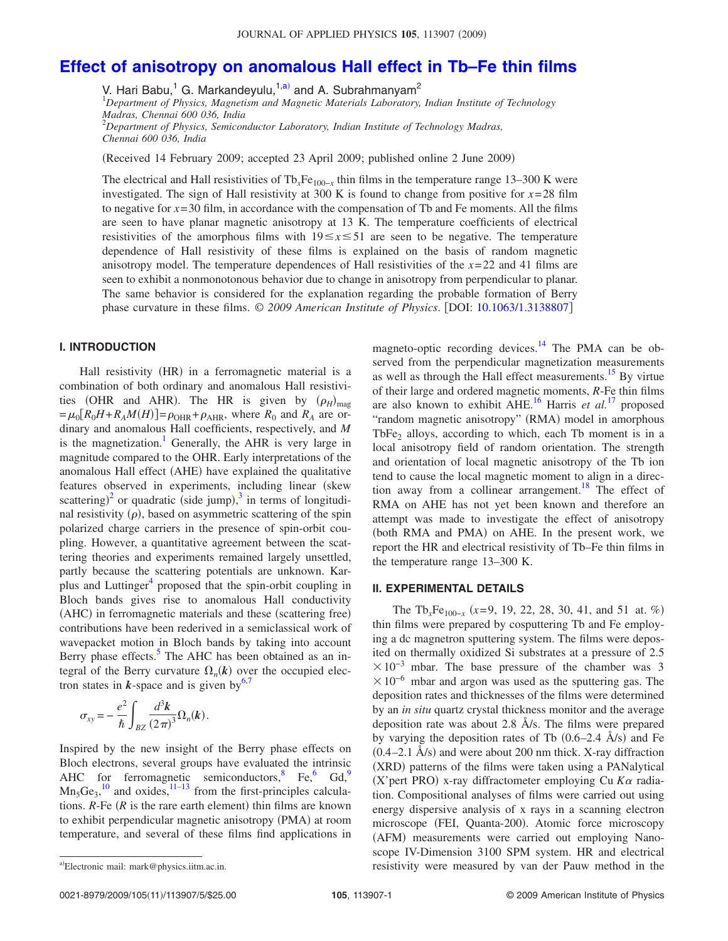# **Effect of anisotropy on anomalous Hall effect in Tb–Fe thin films**

V. Hari Babu,<sup>1</sup> G. Markandeyulu,<sup>1,a)</sup> and A. Subrahmanyam<sup>2</sup>

<sup>1</sup>*Department of Physics, Magnetism and Magnetic Materials Laboratory, Indian Institute of Technology Madras, Chennai 600 036, India*

<sup>2</sup>*Department of Physics, Semiconductor Laboratory, Indian Institute of Technology Madras, Chennai 600 036, India*

Received 14 February 2009; accepted 23 April 2009; published online 2 June 2009-

The electrical and Hall resistivities of  $Tb_xFe_{100-x}$  thin films in the temperature range 13–300 K were investigated. The sign of Hall resistivity at 300 K is found to change from positive for  $x=28$  film to negative for  $x=30$  film, in accordance with the compensation of Tb and Fe moments. All the films are seen to have planar magnetic anisotropy at 13 K. The temperature coefficients of electrical resistivities of the amorphous films with  $19 \le x \le 51$  are seen to be negative. The temperature dependence of Hall resistivity of these films is explained on the basis of random magnetic anisotropy model. The temperature dependences of Hall resistivities of the *x*= 22 and 41 films are seen to exhibit a nonmonotonous behavior due to change in anisotropy from perpendicular to planar. The same behavior is considered for the explanation regarding the probable formation of Berry phase curvature in these films. © *2009 American Institute of Physics*. DOI: 10.1063/1.3138807

# **I. INTRODUCTION**

Hall resistivity (HR) in a ferromagnetic material is a combination of both ordinary and anomalous Hall resistivities (OHR and AHR). The HR is given by  $(\rho_H)_{\text{mag}}$  $= \mu_0 [R_0 H + R_A M(H)] = \rho_{\text{OHR}} + \rho_{\text{AHR}}$ , where  $R_0$  and  $R_A$  are ordinary and anomalous Hall coefficients, respectively, and *M* is the magnetization.<sup>1</sup> Generally, the AHR is very large in magnitude compared to the OHR. Early interpretations of the anomalous Hall effect (AHE) have explained the qualitative features observed in experiments, including linear (skew) scattering)<sup>2</sup> or quadratic (side jump),<sup>3</sup> in terms of longitudinal resistivity  $(\rho)$ , based on asymmetric scattering of the spin polarized charge carriers in the presence of spin-orbit coupling. However, a quantitative agreement between the scattering theories and experiments remained largely unsettled, partly because the scattering potentials are unknown. Karplus and Luttinger<sup>4</sup> proposed that the spin-orbit coupling in Bloch bands gives rise to anomalous Hall conductivity (AHC) in ferromagnetic materials and these (scattering free) contributions have been rederived in a semiclassical work of wavepacket motion in Bloch bands by taking into account Berry phase effects.<sup>5</sup> The AHC has been obtained as an integral of the Berry curvature  $\Omega_n(k)$  over the occupied electron states in  $k$ -space and is given by<sup>6,7</sup>

$$
\sigma_{xy} = -\frac{e^2}{\hbar} \int_{BZ} \frac{d^3k}{(2\pi)^3} \Omega_n(k).
$$

Inspired by the new insight of the Berry phase effects on Bloch electrons, several groups have evaluated the intrinsic AHC for ferromagnetic semiconductors,<sup>8</sup> Fe, Gd,<sup>9</sup>  $Mn_5Ge_3$ ,<sup>10</sup> and oxides,<sup>11–13</sup> from the first-principles calculations.  $R$ -Fe  $(R$  is the rare earth element) thin films are known to exhibit perpendicular magnetic anisotropy (PMA) at room temperature, and several of these films find applications in

## **II. EXPERIMENTAL DETAILS**

The Tb<sub>*x*</sub>Fe<sub>100−*x*</sub> (*x*=9, 19, 22, 28, 30, 41, and 51 at. %) thin films were prepared by cosputtering Tb and Fe employing a dc magnetron sputtering system. The films were deposited on thermally oxidized Si substrates at a pressure of 2.5  $\times$ 10<sup>-3</sup> mbar. The base pressure of the chamber was 3  $\times 10^{-6}$  mbar and argon was used as the sputtering gas. The deposition rates and thicknesses of the films were determined by an *in situ* quartz crystal thickness monitor and the average deposition rate was about 2.8 Å/s. The films were prepared by varying the deposition rates of Tb  $(0.6-2.4 \text{ Å/s})$  and Fe  $(0.4-2.1 \text{ Å/s})$  and were about 200 nm thick. X-ray diffraction (XRD) patterns of the films were taken using a PANalytical  $(X')$ pert PRO) x-ray diffractometer employing Cu  $K\alpha$  radiation. Compositional analyses of films were carried out using energy dispersive analysis of x rays in a scanning electron microscope (FEI, Quanta-200). Atomic force microscopy (AFM) measurements were carried out employing Nanoscope IV-Dimension 3100 SPM system. HR and electrical resistivity were measured by van der Pauw method in the

magneto-optic recording devices. $14$  The PMA can be observed from the perpendicular magnetization measurements as well as through the Hall effect measurements.<sup>15</sup> By virtue of their large and ordered magnetic moments, *R*-Fe thin films are also known to exhibit AHE.<sup>16</sup> Harris *et al.*<sup>17</sup> proposed "random magnetic anisotropy" (RMA) model in amorphous TbFe<sub>2</sub> alloys, according to which, each Tb moment is in a local anisotropy field of random orientation. The strength and orientation of local magnetic anisotropy of the Tb ion tend to cause the local magnetic moment to align in a direction away from a collinear arrangement.<sup>18</sup> The effect of RMA on AHE has not yet been known and therefore an attempt was made to investigate the effect of anisotropy (both RMA and PMA) on AHE. In the present work, we report the HR and electrical resistivity of Tb–Fe thin films in the temperature range 13–300 K.

Electronic mail: mark@physics.iitm.ac.in.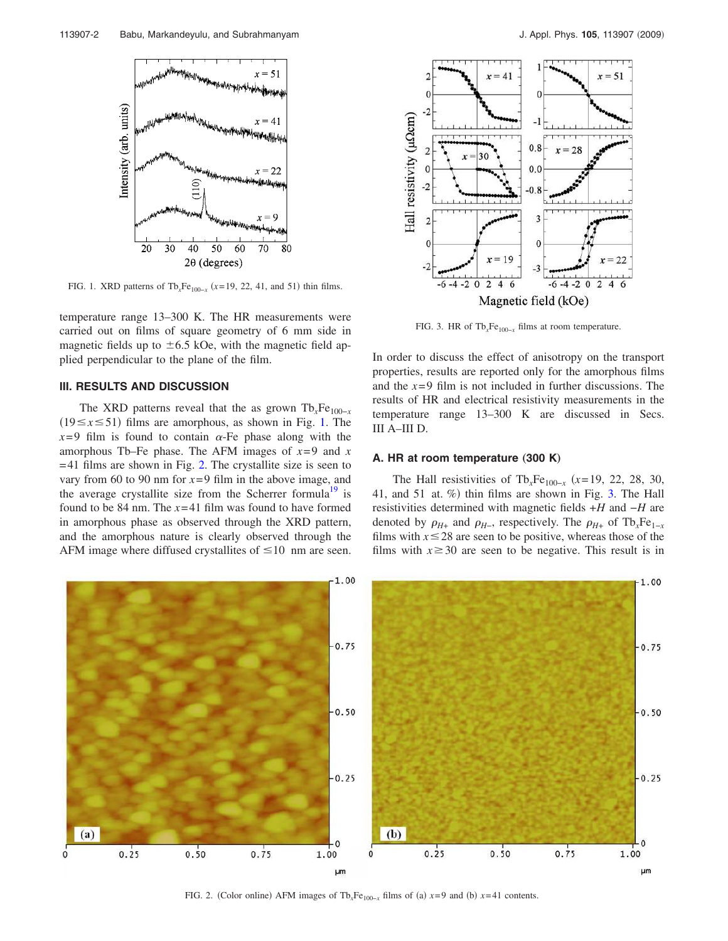

FIG. 1. XRD patterns of  $Tb_xFe_{100-x}$  ( $x=19, 22, 41,$  and 51) thin films.

temperature range 13–300 K. The HR measurements were carried out on films of square geometry of 6 mm side in magnetic fields up to  $\pm 6.5$  kOe, with the magnetic field applied perpendicular to the plane of the film.

## **III. RESULTS AND DISCUSSION**

The XRD patterns reveal that the as grown  $Tb_xFe_{100-x}$  $(19 \le x \le 51)$  films are amorphous, as shown in Fig. 1. The  $x=9$  film is found to contain  $\alpha$ -Fe phase along with the amorphous Tb–Fe phase. The AFM images of  $x=9$  and  $x=9$  $= 41$  films are shown in Fig. 2. The crystallite size is seen to vary from 60 to 90 nm for  $x=9$  film in the above image, and the average crystallite size from the Scherrer formula<sup>19</sup> is found to be 84 nm. The *x*= 41 film was found to have formed in amorphous phase as observed through the XRD pattern, and the amorphous nature is clearly observed through the AFM image where diffused crystallites of  $\leq 10$  nm are seen.



FIG. 3. HR of Tb<sub>*x*</sub>Fe<sub>100−*x*</sub> films at room temperature.

In order to discuss the effect of anisotropy on the transport properties, results are reported only for the amorphous films and the *x*= 9 film is not included in further discussions. The results of HR and electrical resistivity measurements in the temperature range 13–300 K are discussed in Secs. III A–III D.

#### **A. HR at room temperature (300 K)**

The Hall resistivities of Tb<sub>*x*</sub>Fe<sub>100−*x*</sub> (*x*=19, 22, 28, 30, 41, and 51 at. %) thin films are shown in Fig. 3. The Hall resistivities determined with magnetic fields +*H* and −*H* are denoted by  $\rho_{H+}$  and  $\rho_{H-}$ , respectively. The  $\rho_{H+}$  of Tb<sub>*x*</sub>Fe<sub>1-*x*</sub> films with  $x \leq 28$  are seen to be positive, whereas those of the films with  $x \geq 30$  are seen to be negative. This result is in



FIG. 2. (Color online) AFM images of Tb<sub>*x*</sub>Fe<sub>100−*x*</sub> films of (a)  $x=9$  and (b)  $x=41$  contents.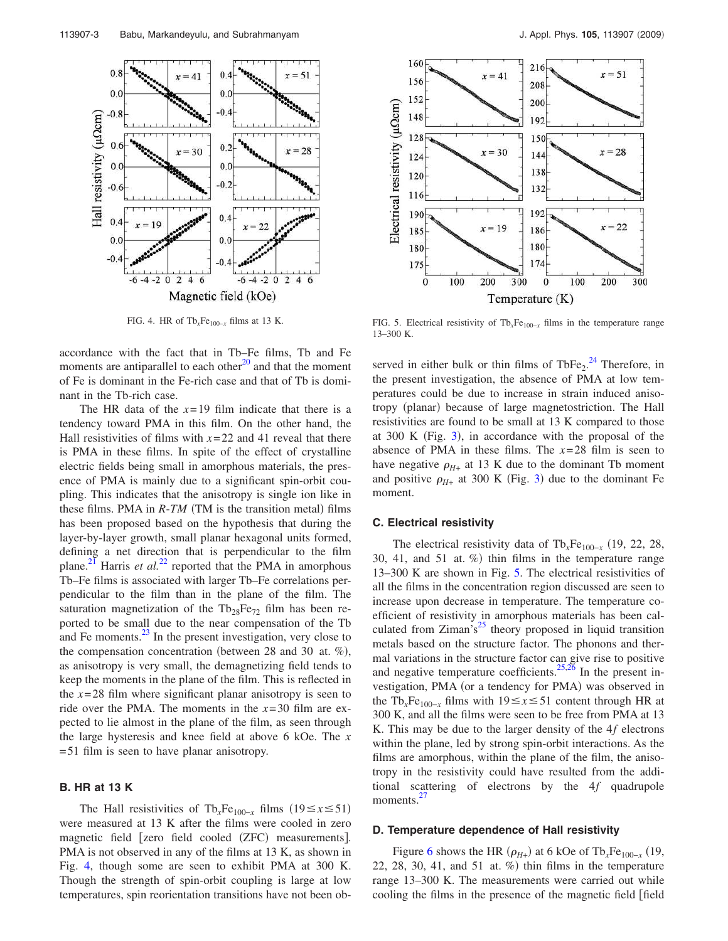

accordance with the fact that in Tb–Fe films, Tb and Fe moments are antiparallel to each other $^{20}$  and that the moment of Fe is dominant in the Fe-rich case and that of Tb is dominant in the Tb-rich case.

The HR data of the  $x=19$  film indicate that there is a tendency toward PMA in this film. On the other hand, the Hall resistivities of films with  $x=22$  and 41 reveal that there is PMA in these films. In spite of the effect of crystalline electric fields being small in amorphous materials, the presence of PMA is mainly due to a significant spin-orbit coupling. This indicates that the anisotropy is single ion like in these films. PMA in  $R$ - $TM$  (TM is the transition metal) films has been proposed based on the hypothesis that during the layer-by-layer growth, small planar hexagonal units formed, defining a net direction that is perpendicular to the film plane.<sup>21</sup> Harris *et al.*<sup>22</sup> reported that the PMA in amorphous Tb–Fe films is associated with larger Tb–Fe correlations perpendicular to the film than in the plane of the film. The saturation magnetization of the  $Tb_{28}Fe_{72}$  film has been reported to be small due to the near compensation of the Tb and Fe moments.<sup>23</sup> In the present investigation, very close to the compensation concentration (between 28 and 30 at. %), as anisotropy is very small, the demagnetizing field tends to keep the moments in the plane of the film. This is reflected in the  $x=28$  film where significant planar anisotropy is seen to ride over the PMA. The moments in the  $x=30$  film are expected to lie almost in the plane of the film, as seen through the large hysteresis and knee field at above 6 kOe. The *x* = 51 film is seen to have planar anisotropy.

## **B. HR at 13 K**

The Hall resistivities of Tb<sub>*x*</sub>Fe<sub>100−*x*</sub> films (19≤*x*≤51) were measured at 13 K after the films were cooled in zero magnetic field [zero field cooled (ZFC) measurements]. PMA is not observed in any of the films at 13 K, as shown in Fig. 4, though some are seen to exhibit PMA at 300 K. Though the strength of spin-orbit coupling is large at low temperatures, spin reorientation transitions have not been ob-



FIG. 4. HR of Tb*x*Fe100−*<sup>x</sup>* films at 13 K. FIG. 5. Electrical resistivity of Tb*x*Fe100−*<sup>x</sup>* films in the temperature range 13–300 K.

served in either bulk or thin films of  $TbFe<sub>2</sub>.<sup>24</sup>$  Therefore, in the present investigation, the absence of PMA at low temperatures could be due to increase in strain induced anisotropy (planar) because of large magnetostriction. The Hall resistivities are found to be small at 13 K compared to those at  $300$  K (Fig. 3), in accordance with the proposal of the absence of PMA in these films. The *x*= 28 film is seen to have negative  $\rho_{H+}$  at 13 K due to the dominant Tb moment and positive  $\rho_{H+}$  at 300 K (Fig. 3) due to the dominant Fe moment.

#### **C. Electrical resistivity**

The electrical resistivity data of  $Tb_xFe_{100-x}$  (19, 22, 28, 30, 41, and 51 at. %) thin films in the temperature range 13–300 K are shown in Fig. 5. The electrical resistivities of all the films in the concentration region discussed are seen to increase upon decrease in temperature. The temperature coefficient of resistivity in amorphous materials has been calculated from  $Ziman's^{25}$  theory proposed in liquid transition metals based on the structure factor. The phonons and thermal variations in the structure factor can give rise to positive and negative temperature coefficients.<sup>25,26</sup> In the present investigation, PMA (or a tendency for PMA) was observed in the Tb<sub>*x*</sub>Fe<sub>100−*x*</sub> films with 19≤*x*≤51 content through HR at 300 K, and all the films were seen to be free from PMA at 13 K. This may be due to the larger density of the 4*f* electrons within the plane, led by strong spin-orbit interactions. As the films are amorphous, within the plane of the film, the anisotropy in the resistivity could have resulted from the additional scattering of electrons by the 4*f* quadrupole moments. $27$ 

#### **D. Temperature dependence of Hall resistivity**

Figure 6 shows the HR  $(\rho_{H+})$  at 6 kOe of Tb<sub>*x*</sub>Fe<sub>100−*x*</sub> (19, 22, 28, 30, 41, and 51 at.  $\%$ ) thin films in the temperature range 13–300 K. The measurements were carried out while cooling the films in the presence of the magnetic field field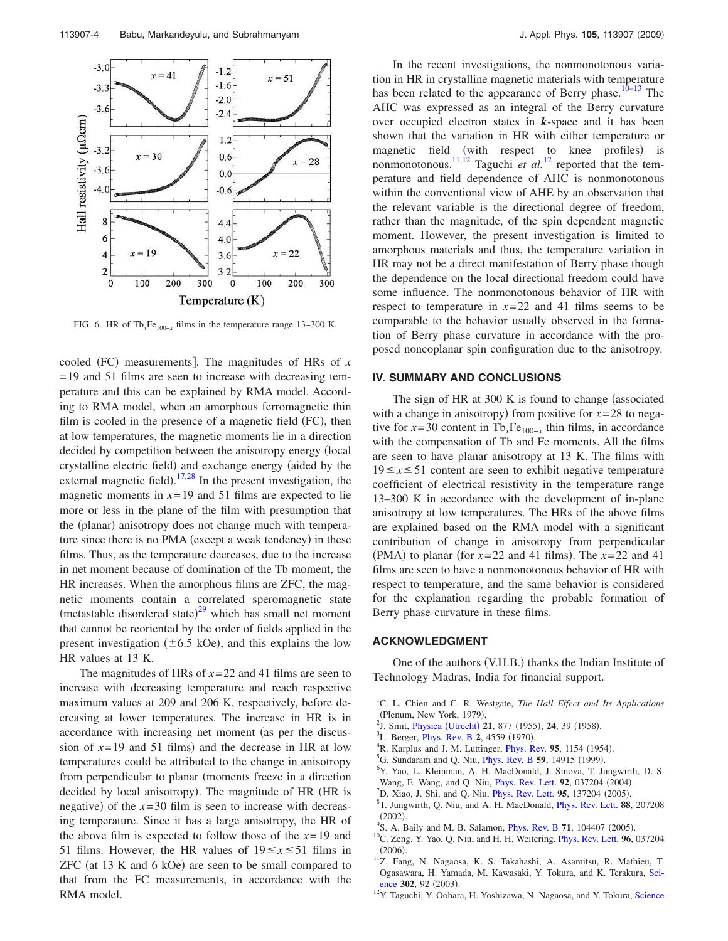

FIG. 6. HR of  $\text{Th}_x\text{Fe}_{100-x}$  films in the temperature range 13–300 K.

cooled (FC) measurements]. The magnitudes of HRs of *x* = 19 and 51 films are seen to increase with decreasing temperature and this can be explained by RMA model. According to RMA model, when an amorphous ferromagnetic thin film is cooled in the presence of a magnetic field (FC), then at low temperatures, the magnetic moments lie in a direction decided by competition between the anisotropy energy (local crystalline electric field) and exchange energy (aided by the external magnetic field).  $17,28$  In the present investigation, the magnetic moments in  $x=19$  and 51 films are expected to lie more or less in the plane of the film with presumption that the (planar) anisotropy does not change much with temperature since there is no PMA (except a weak tendency) in these films. Thus, as the temperature decreases, due to the increase in net moment because of domination of the Tb moment, the HR increases. When the amorphous films are ZFC, the magnetic moments contain a correlated speromagnetic state (metastable disordered state) $^{29}$  which has small net moment that cannot be reoriented by the order of fields applied in the present investigation  $(\pm 6.5 \text{ kOe})$ , and this explains the low HR values at 13 K.

The magnitudes of HRs of *x*= 22 and 41 films are seen to increase with decreasing temperature and reach respective maximum values at 209 and 206 K, respectively, before decreasing at lower temperatures. The increase in HR is in accordance with increasing net moment (as per the discussion of  $x=19$  and 51 films) and the decrease in HR at low temperatures could be attributed to the change in anisotropy from perpendicular to planar (moments freeze in a direction decided by local anisotropy). The magnitude of HR (HR is negative) of the  $x=30$  film is seen to increase with decreasing temperature. Since it has a large anisotropy, the HR of the above film is expected to follow those of the *x*= 19 and 51 films. However, the HR values of  $19 \le x \le 51$  films in  $ZFC$  (at 13 K and 6 kOe) are seen to be small compared to that from the FC measurements, in accordance with the RMA model.

In the recent investigations, the nonmonotonous variation in HR in crystalline magnetic materials with temperature has been related to the appearance of Berry phase.<sup>10–13</sup> The AHC was expressed as an integral of the Berry curvature over occupied electron states in *k*-space and it has been shown that the variation in HR with either temperature or magnetic field (with respect to knee profiles) is nonmonotonous.<sup>11,12</sup> Taguchi *et al.*<sup>12</sup> reported that the temperature and field dependence of AHC is nonmonotonous within the conventional view of AHE by an observation that the relevant variable is the directional degree of freedom, rather than the magnitude, of the spin dependent magnetic moment. However, the present investigation is limited to amorphous materials and thus, the temperature variation in HR may not be a direct manifestation of Berry phase though the dependence on the local directional freedom could have some influence. The nonmonotonous behavior of HR with respect to temperature in  $x=22$  and 41 films seems to be comparable to the behavior usually observed in the formation of Berry phase curvature in accordance with the proposed noncoplanar spin configuration due to the anisotropy.

### **IV. SUMMARY AND CONCLUSIONS**

The sign of HR at  $300$  K is found to change (associated with a change in anisotropy) from positive for  $x = 28$  to negative for  $x=30$  content in Tb<sub>*x*</sub>Fe<sub>100−*x*</sub> thin films, in accordance with the compensation of Tb and Fe moments. All the films are seen to have planar anisotropy at 13 K. The films with  $19 \le x \le 51$  content are seen to exhibit negative temperature coefficient of electrical resistivity in the temperature range 13–300 K in accordance with the development of in-plane anisotropy at low temperatures. The HRs of the above films are explained based on the RMA model with a significant contribution of change in anisotropy from perpendicular (PMA) to planar (for  $x=22$  and 41 films). The  $x=22$  and 41 films are seen to have a nonmonotonous behavior of HR with respect to temperature, and the same behavior is considered for the explanation regarding the probable formation of Berry phase curvature in these films.

# **ACKNOWLEDGMENT**

One of the authors (V.H.B.) thanks the Indian Institute of Technology Madras, India for financial support.

- <sup>1</sup>C. L. Chien and C. R. Westgate, *The Hall Effect and Its Applications* (Plenum, New York, 1979).
- <sup>2</sup>J. Smit, *Physica (Utrecht)* **21**, 877 (1955); **24**, 39 (1958).
- <sup>3</sup>L. Berger, *Phys. Rev. B* 2, 4559 (1970).
- <sup>4</sup>R. Karplus and J. M. Luttinger, *Phys. Rev.* 95, 1154 (1954).
- <sup>5</sup>G. Sundaram and Q. Niu, *Phys. Rev. B* 59, 14915 (1999).
- <sup>6</sup>Y. Yao, L. Kleinman, A. H. MacDonald, J. Sinova, T. Jungwirth, D. S. Wang, E. Wang, and Q. Niu, *Phys. Rev. Lett.* 92, 037204 (2004).
- <sup>7</sup>D. Xiao, J. Shi, and Q. Niu, *Phys. Rev. Lett.* **95**, 137204 (2005).
- 8 T. Jungwirth, Q. Niu, and A. H. MacDonald, Phys. Rev. Lett. **88**, 207208  $(2002).$
- <sup>9</sup>S. A. Baily and M. B. Salamon, *Phys. Rev. B* 71, 104407 (2005).
- <sup>10</sup>C. Zeng, Y. Yao, Q. Niu, and H. H. Weitering, Phys. Rev. Lett. **96**, 037204  $(2006).$
- <sup>11</sup>Z. Fang, N. Nagaosa, K. S. Takahashi, A. Asamitsu, R. Mathieu, T. Ogasawara, H. Yamada, M. Kawasaki, Y. Tokura, and K. Terakura, Science 302, 92 (2003).
- <sup>12</sup>Y. Taguchi, Y. Oohara, H. Yoshizawa, N. Nagaosa, and Y. Tokura, Science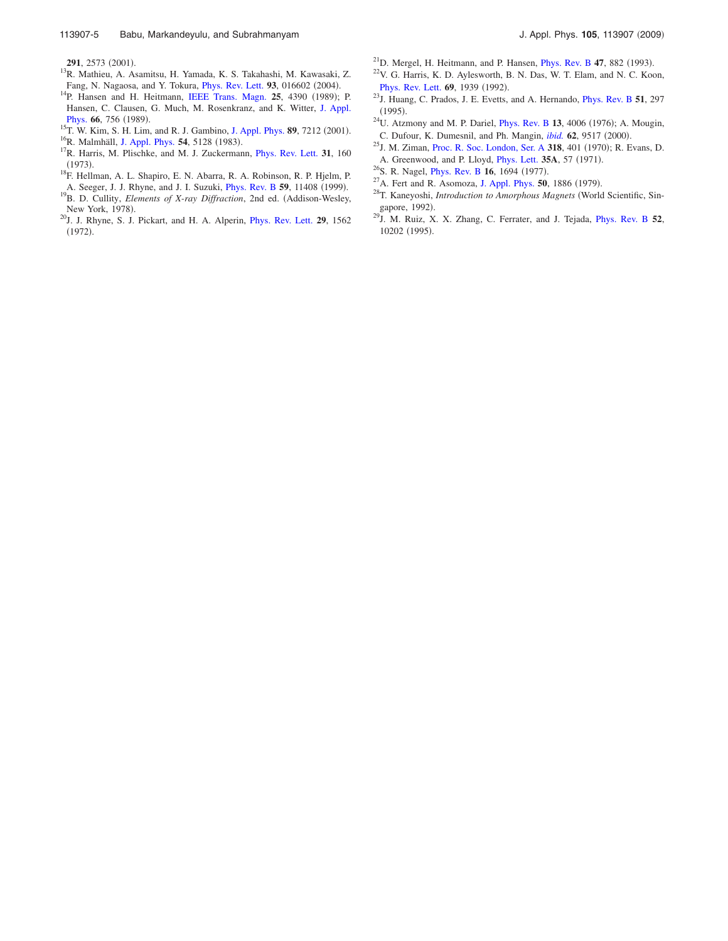- $^{13}$ R. Mathieu, A. Asamitsu, H. Yamada, K. S. Takahashi, M. Kawasaki, Z. Fang, N. Nagaosa, and Y. Tokura, *Phys. Rev. Lett.* 93, 016602 (2004).
- <sup>14</sup>P. Hansen and H. Heitmann, IEEE Trans. Magn. **25**, 4390 (1989); P. Hansen, C. Clausen, G. Much, M. Rosenkranz, and K. Witter, J. Appl. Phys. 66, 756 (1989).
- <sup>15</sup>T. W. Kim, S. H. Lim, and R. J. Gambino, J. Appl. Phys. **89**, 7212 (2001). <sup>16</sup>R. Malmhäll, J. Appl. Phys. **54**, 5128 (1983).
- <sup>17</sup>R. Harris, M. Plischke, and M. J. Zuckermann, *Phys. Rev. Lett.* **31**, 160  $(1973).$
- <sup>18</sup>F. Hellman, A. L. Shapiro, E. N. Abarra, R. A. Robinson, R. P. Hjelm, P. A. Seeger, J. J. Rhyne, and J. I. Suzuki, *Phys. Rev. B* 59, 11408 (1999).
- <sup>19</sup>B. D. Cullity, *Elements of X-ray Diffraction*, 2nd ed. (Addison-Wesley, New York, 1978).
- <sup>20</sup>J. J. Rhyne, S. J. Pickart, and H. A. Alperin, Phys. Rev. Lett. **29**, 1562  $(1972).$
- <sup>21</sup>D. Mergel, H. Heitmann, and P. Hansen, *Phys. Rev. B* 47, 882 (1993).
- <sup>22</sup>V. G. Harris, K. D. Aylesworth, B. N. Das, W. T. Elam, and N. C. Koon, Phys. Rev. Lett. **69**, 1939 (1992).
- <sup>23</sup>J. Huang, C. Prados, J. E. Evetts, and A. Hernando, Phys. Rev. B **51**, 297  $(1995).$
- $^{24}$ U. Atzmony and M. P. Dariel, *Phys. Rev. B* 13, 4006 (1976); A. Mougin, C. Dufour, K. Dumesnil, and Ph. Mangin, *ibid.* **62**, 9517 (2000).
- <sup>25</sup>J. M. Ziman, Proc. R. Soc. London, Ser. A **318**, 401 (1970); R. Evans, D. A. Greenwood, and P. Lloyd, *Phys. Lett.* **35A**, 57 (1971).
- <sup>26</sup>S. R. Nagel, *Phys. Rev. B* 16, 1694 (1977).
- <sup>27</sup>A. Fert and R. Asomoza, J. Appl. Phys. **50**, 1886 (1979).
- <sup>28</sup>T. Kaneyoshi, *Introduction to Amorphous Magnets* World Scientific, Singapore, 1992).
- <sup>29</sup>J. M. Ruiz, X. X. Zhang, C. Ferrater, and J. Tejada, Phys. Rev. B **52**, 10202 (1995).